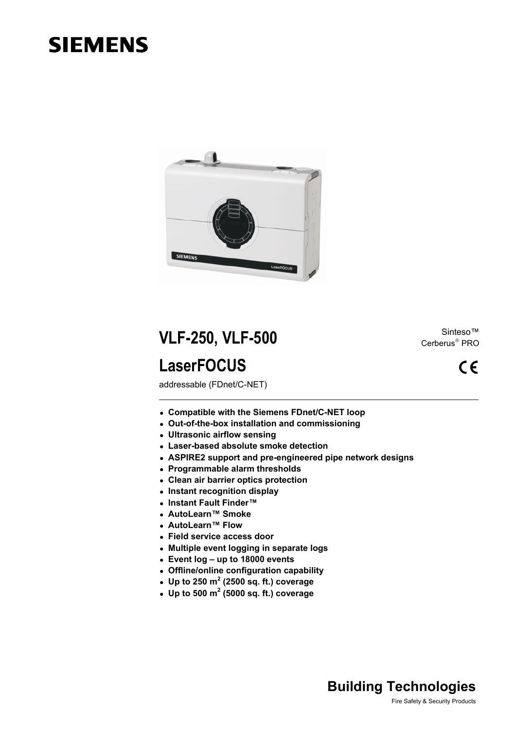# **SIEMENS**



**VLF-250, VLF-500** Sinteso™ Sinteso™ **LaserFOCUS** 

addressable (FDnet/C-NET)

- **Compatible with the Siemens FDnet/C-NET loop**
- <sup>z</sup> **Out-of-the-box installation and commissioning**
- <sup>z</sup> **Ultrasonic airflow sensing**
- <sup>z</sup> **Laser-based absolute smoke detection**
- **ASPIRE2 support and pre-engineered pipe network designs**
- <sup>z</sup> **Programmable alarm thresholds**
- <sup>z</sup> **Clean air barrier optics protection**
- **Instant recognition display**
- <sup>z</sup> **Instant Fault Finder™**
- <sup>z</sup> **AutoLearn™ Smoke**
- <sup>z</sup> **AutoLearn™ Flow**
- <sup>z</sup> **Field service access door**
- <sup>z</sup> **Multiple event logging in separate logs**
- <sup>z</sup> **Event log up to 18000 events**
- <sup>z</sup> **Offline/online configuration capability**
- Up to 250  $m^2$  (2500 sq. ft.) coverage
- $\bullet$  Up to 500 m<sup>2</sup> (5000 sq. ft.) coverage

Cerberus® PRO

 $\epsilon$ 

## **Building Technologies**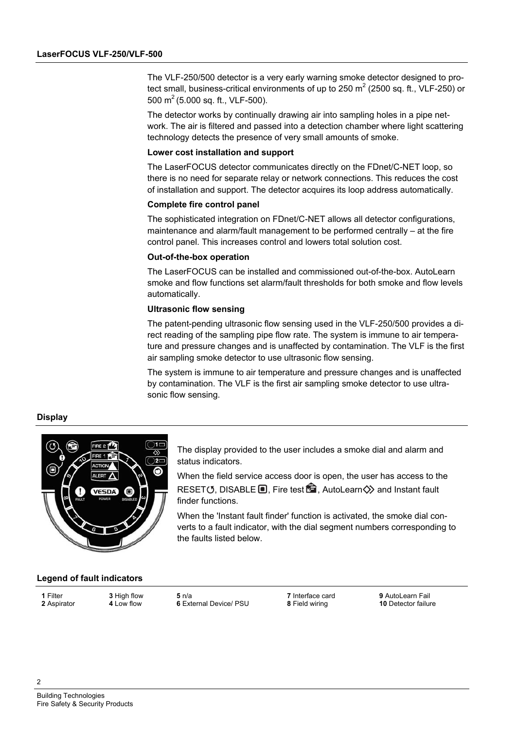The VLF-250/500 detector is a very early warning smoke detector designed to protect small, business-critical environments of up to 250  $m^2$  (2500 sq. ft., VLF-250) or 500 m<sup>2</sup> (5.000 sq. ft., VLF-500).

The detector works by continually drawing air into sampling holes in a pipe network. The air is filtered and passed into a detection chamber where light scattering technology detects the presence of very small amounts of smoke.

#### **Lower cost installation and support**

The LaserFOCUS detector communicates directly on the FDnet/C-NET loop, so there is no need for separate relay or network connections. This reduces the cost of installation and support. The detector acquires its loop address automatically.

#### **Complete fire control panel**

The sophisticated integration on FDnet/C-NET allows all detector configurations, maintenance and alarm/fault management to be performed centrally – at the fire control panel. This increases control and lowers total solution cost.

#### **Out-of-the-box operation**

The LaserFOCUS can be installed and commissioned out-of-the-box. AutoLearn smoke and flow functions set alarm/fault thresholds for both smoke and flow levels automatically.

#### **Ultrasonic flow sensing**

The patent-pending ultrasonic flow sensing used in the VLF-250/500 provides a direct reading of the sampling pipe flow rate. The system is immune to air temperature and pressure changes and is unaffected by contamination. The VLF is the first air sampling smoke detector to use ultrasonic flow sensing.

The system is immune to air temperature and pressure changes and is unaffected by contamination. The VLF is the first air sampling smoke detector to use ultrasonic flow sensing.

#### **Display**



The display provided to the user includes a smoke dial and alarm and status indicators.

When the field service access door is open, the user has access to the RESET (5. DISABLE  $\blacksquare$ . Fire test  $\blacksquare$ . AutoLearn $\diamondsuit$  and Instant fault finder functions.

When the 'Instant fault finder' function is activated, the smoke dial converts to a fault indicator, with the dial segment numbers corresponding to the faults listed below.

#### **Legend of fault indicators**

**1** Filter **3** High flow **5** n/a **7** Interface card **9** AutoLearn Fail **6** External Device/ PSU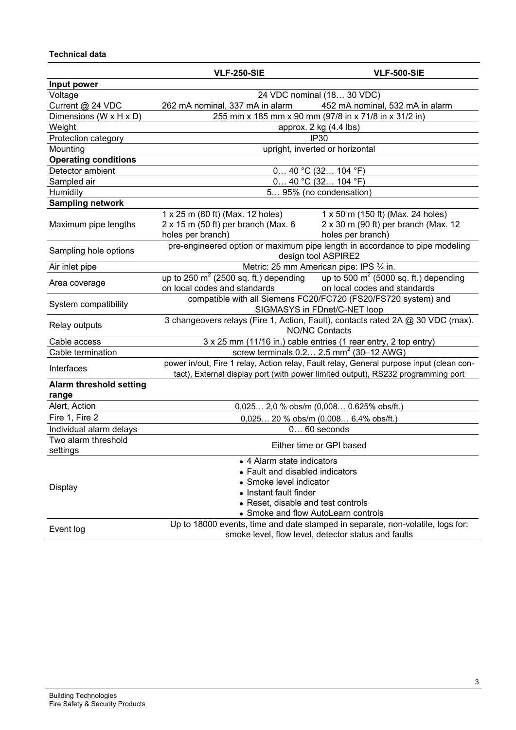### **Technical data**

|                                         | <b>VLF-250-SIE</b>                                                                                                                                                                          | <b>VLF-500-SIE</b>                                                                             |  |
|-----------------------------------------|---------------------------------------------------------------------------------------------------------------------------------------------------------------------------------------------|------------------------------------------------------------------------------------------------|--|
| Input power                             |                                                                                                                                                                                             |                                                                                                |  |
| Voltage                                 | 24 VDC nominal (18 30 VDC)                                                                                                                                                                  |                                                                                                |  |
| Current @ 24 VDC                        | 262 mA nominal, 337 mA in alarm                                                                                                                                                             | 452 mA nominal, 532 mA in alarm                                                                |  |
| Dimensions (W x H x D)                  |                                                                                                                                                                                             | 255 mm x 185 mm x 90 mm (97/8 in x 71/8 in x 31/2 in)                                          |  |
| Weight                                  | approx. 2 kg (4.4 lbs)                                                                                                                                                                      |                                                                                                |  |
| Protection category                     | <b>IP30</b>                                                                                                                                                                                 |                                                                                                |  |
| Mounting                                | upright, inverted or horizontal                                                                                                                                                             |                                                                                                |  |
| <b>Operating conditions</b>             |                                                                                                                                                                                             |                                                                                                |  |
| Detector ambient                        | $0$ 40 °C (32 104 °F)                                                                                                                                                                       |                                                                                                |  |
| Sampled air                             | $0$ 40 °C (32 104 °F)                                                                                                                                                                       |                                                                                                |  |
| Humidity                                | 5 95% (no condensation)                                                                                                                                                                     |                                                                                                |  |
| <b>Sampling network</b>                 |                                                                                                                                                                                             |                                                                                                |  |
| Maximum pipe lengths                    | 1 x 25 m (80 ft) (Max. 12 holes)<br>$2 \times 15$ m (50 ft) per branch (Max. 6<br>holes per branch)                                                                                         | 1 x 50 m (150 ft) (Max. 24 holes)<br>2 x 30 m (90 ft) per branch (Max. 12<br>holes per branch) |  |
| Sampling hole options                   | pre-engineered option or maximum pipe length in accordance to pipe modeling<br>design tool ASPIRE2                                                                                          |                                                                                                |  |
| Air inlet pipe                          | Metric: 25 mm American pipe: IPS 3/4 in.                                                                                                                                                    |                                                                                                |  |
| Area coverage                           | up to 250 $m^2$ (2500 sq. ft.) depending<br>on local codes and standards                                                                                                                    | up to 500 $m^2$ (5000 sq. ft.) depending<br>on local codes and standards                       |  |
| System compatibility                    | compatible with all Siemens FC20/FC720 (FS20/FS720 system) and<br>SIGMASYS in FDnet/C-NET loop                                                                                              |                                                                                                |  |
| Relay outputs                           | 3 changeovers relays (Fire 1, Action, Fault), contacts rated 2A @ 30 VDC (max).<br><b>NO/NC Contacts</b>                                                                                    |                                                                                                |  |
| Cable access                            | 3 x 25 mm (11/16 in.) cable entries (1 rear entry, 2 top entry)                                                                                                                             |                                                                                                |  |
| Cable termination                       |                                                                                                                                                                                             | screw terminals $0.2$ 2.5 mm <sup>2</sup> (30-12 AWG)                                          |  |
| Interfaces                              | power in/out, Fire 1 relay, Action relay, Fault relay, General purpose input (clean con-<br>tact), External display port (with power limited output), RS232 programming port                |                                                                                                |  |
| <b>Alarm threshold setting</b><br>range |                                                                                                                                                                                             |                                                                                                |  |
| Alert, Action                           | 0,025 2,0 % obs/m (0,008 0.625% obs/ft.)                                                                                                                                                    |                                                                                                |  |
| Fire 1, Fire 2                          | 0,025 20 % obs/m (0,008 6,4% obs/ft.)                                                                                                                                                       |                                                                                                |  |
| Individual alarm delays                 | $060$ seconds                                                                                                                                                                               |                                                                                                |  |
| Two alarm threshold<br>settings         | Either time or GPI based                                                                                                                                                                    |                                                                                                |  |
| <b>Display</b>                          | • 4 Alarm state indicators<br>Fault and disabled indicators<br>Smoke level indicator<br>• Instant fault finder<br>• Reset, disable and test controls<br>• Smoke and flow AutoLearn controls |                                                                                                |  |
| Event log                               | Up to 18000 events, time and date stamped in separate, non-volatile, logs for:<br>smoke level, flow level, detector status and faults                                                       |                                                                                                |  |